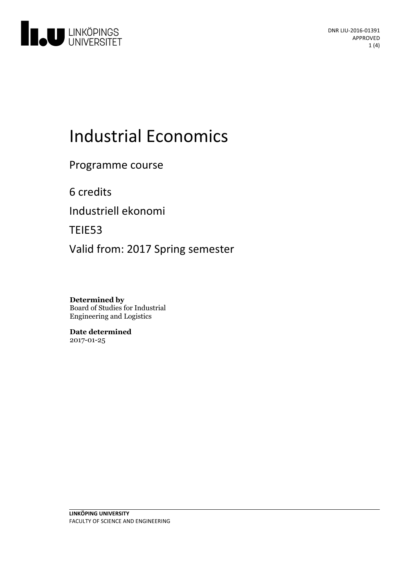

# **Industrial Economics**

Programme course

6 credits

Industriell ekonomi

TEIE53

Valid from: 2017 Spring semester

**Determined by** Board of Studies for Industrial Engineering and Logistics

**Date determined** 2017-01-25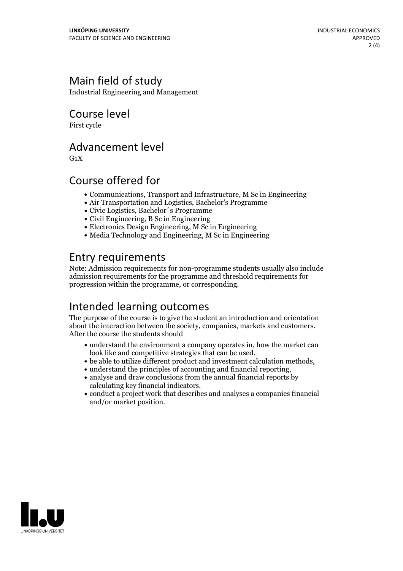# Main field of study

Industrial Engineering and Management

Course level

First cycle

#### Advancement level

 $G_1X$ 

### Course offered for

- Communications, Transport and Infrastructure, M Sc in Engineering
- Air Transportation and Logistics, Bachelor's Programme
- Civic Logistics, Bachelor´s Programme
- Civil Engineering, B Sc in Engineering
- Electronics Design Engineering, M Sc in Engineering
- $\bullet$  Media Technology and Engineering, M Sc in Engineering

### Entry requirements

Note: Admission requirements for non-programme students usually also include admission requirements for the programme and threshold requirements for progression within the programme, or corresponding.

## Intended learning outcomes

The purpose of the course is to give the student an introduction and orientation about the interaction between the society, companies, markets and customers. After the course the students should

- understand the environment a company operates in, how the market can
- $\bullet$  be able to utilize different product and investment calculation methods,  $\bullet$  understand the principles of accounting and financial reporting,
- 
- $\bullet$  analyse and draw conclusions from the annual financial reports by calculating key financial indicators.
- conduct a project work that describes and analyses a companies financial and/or market position.

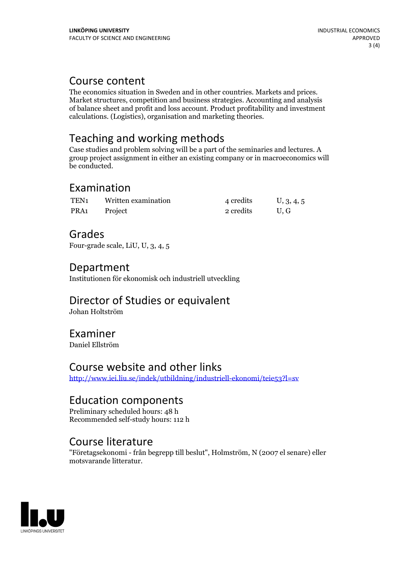Course content<br>The economics situation in Sweden and in other countries. Markets and prices. Market structures, competition and business strategies. Accounting and analysis of balance sheet and profit and loss account. Product profitability and investment calculations. (Logistics), organisation and marketing theories.

# Teaching and working methods

Case studies and problem solving will be a part of the seminaries and lectures. A group project assignment in either an existing company or in macroeconomics will be conducted.

#### Examination

| TEN <sub>1</sub> | Written examination | 4 credits | U, 3, 4, 5 |
|------------------|---------------------|-----------|------------|
| PRA1             | Project             | 2 credits | U.G        |

#### Grades

Four-grade scale, LiU, U, 3, 4, 5

### Department

Institutionen för ekonomisk och industriell utveckling

# Director of Studies or equivalent

Johan Holtström

#### Examiner

Daniel Ellström

#### Course website and other links

<http://www.iei.liu.se/indek/utbildning/industriell-ekonomi/teie53?l=sv>

#### Education components

Preliminary scheduled hours: 48 h Recommended self-study hours: 112 h

#### Course literature

"Företagsekonomi - från begrepp till beslut", Holmström, N (2007 el senare) eller motsvarande litteratur.